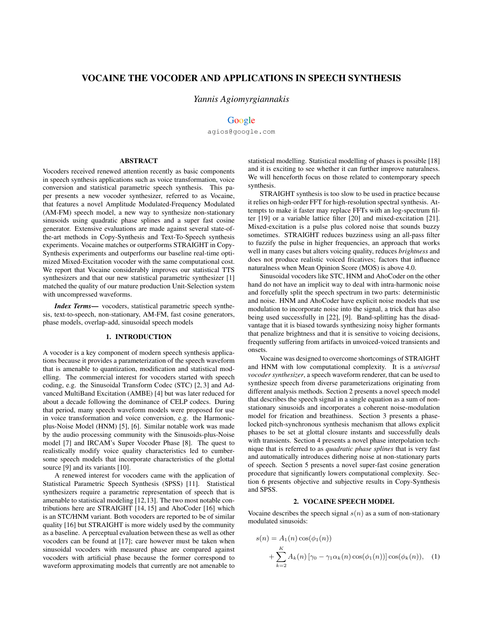# VOCAINE THE VOCODER AND APPLICATIONS IN SPEECH SYNTHESIS

*Yannis Agiomyrgiannakis*

## Google

agios@google.com

## ABSTRACT

Vocoders received renewed attention recently as basic components in speech synthesis applications such as voice transformation, voice conversion and statistical parametric speech synthesis. This paper presents a new vocoder synthesizer, referred to as Vocaine, that features a novel Amplitude Modulated-Frequency Modulated (AM-FM) speech model, a new way to synthesize non-stationary sinusoids using quadratic phase splines and a super fast cosine generator. Extensive evaluations are made against several state-ofthe-art methods in Copy-Synthesis and Text-To-Speech synthesis experiments. Vocaine matches or outperforms STRAIGHT in Copy-Synthesis experiments and outperforms our baseline real-time optimized Mixed-Excitation vocoder with the same computational cost. We report that Vocaine considerably improves our statistical TTS synthesizers and that our new statistical parametric synthesizer [1] matched the quality of our mature production Unit-Selection system with uncompressed waveforms.

*Index Terms*— vocoders, statistical parametric speech synthesis, text-to-speech, non-stationary, AM-FM, fast cosine generators, phase models, overlap-add, sinusoidal speech models

## 1. INTRODUCTION

A vocoder is a key component of modern speech synthesis applications because it provides a parameterization of the speech waveform that is amenable to quantization, modification and statistical modelling. The commercial interest for vocoders started with speech coding, e.g. the Sinusoidal Transform Codec (STC) [2, 3] and Advanced MultiBand Excitation (AMBE) [4] but was later reduced for about a decade following the dominance of CELP codecs. During that period, many speech waveform models were proposed for use in voice transformation and voice conversion, e.g. the Harmonicplus-Noise Model (HNM) [5], [6]. Similar notable work was made by the audio processing community with the Sinusoids-plus-Noise model [7] and IRCAM's Super Vocoder Phase [8]. The quest to realistically modify voice quality characteristics led to cumbersome speech models that incorporate characteristics of the glottal source [9] and its variants [10].

A renewed interest for vocoders came with the application of Statistical Parametric Speech Synthesis (SPSS) [11]. Statistical synthesizers require a parametric representation of speech that is amenable to statistical modeling [12,13]. The two most notable contributions here are STRAIGHT [14, 15] and AhoCoder [16] which is an STC/HNM variant. Both vocoders are reported to be of similar quality [16] but STRAIGHT is more widely used by the community as a baseline. A perceptual evaluation between these as well as other vocoders can be found at [17]; care however must be taken when sinusoidal vocoders with measured phase are compared against vocoders with artificial phase because the former correspond to waveform approximating models that currently are not amenable to

statistical modelling. Statistical modelling of phases is possible [18] and it is exciting to see whether it can further improve naturalness. We will henceforth focus on those related to contemporary speech synthesis.

STRAIGHT synthesis is too slow to be used in practice because it relies on high-order FFT for high-resolution spectral synthesis. Attempts to make it faster may replace FFTs with an log-spectrum filter [19] or a variable lattice filter [20] and mixed-excitation [21]. Mixed-excitation is a pulse plus colored noise that sounds buzzy sometimes. STRAIGHT reduces buzziness using an all-pass filter to fuzzify the pulse in higher frequencies, an approach that works well in many cases but alters voicing quality, reduces *brightness* and does not produce realistic voiced fricatives; factors that influence naturalness when Mean Opinion Score (MOS) is above 4.0.

Sinusoidal vocoders like STC, HNM and AhoCoder on the other hand do not have an implicit way to deal with intra-harmonic noise and forcefully split the speech spectrum in two parts: deterministic and noise. HNM and AhoCoder have explicit noise models that use modulation to incorporate noise into the signal, a trick that has also being used successfully in [22], [9]. Band-splitting has the disadvantage that it is biased towards synthesizing noisy higher formants that penalize brightness and that it is sensitive to voicing decisions, frequently suffering from artifacts in unvoiced-voiced transients and onsets.

Vocaine was designed to overcome shortcomings of STRAIGHT and HNM with low computational complexity. It is a *universal vocoder synthesizer*, a speech waveform renderer, that can be used to synthesize speech from diverse parameterizations originating from different analysis methods. Section 2 presents a novel speech model that describes the speech signal in a single equation as a sum of nonstationary sinusoids and incorporates a coherent noise-modulation model for frication and breathiness. Section 3 presents a phaselocked pitch-synchronous synthesis mechanism that allows explicit phases to be set at glottal closure instants and successfully deals with transients. Section 4 presents a novel phase interpolation technique that is referred to as *quadratic phase splines* that is very fast and automatically introduces dithering noise at non-stationary parts of speech. Section 5 presents a novel super-fast cosine generation procedure that significantly lowers computational complexity. Section 6 presents objective and subjective results in Copy-Synthesis and SPSS.

### 2. VOCAINE SPEECH MODEL

Vocaine describes the speech signal  $s(n)$  as a sum of non-stationary modulated sinusoids:

$$
s(n) = A_1(n) \cos(\phi_1(n))
$$
  
+ 
$$
\sum_{k=2}^{K} A_k(n) [\gamma_0 - \gamma_1 \alpha_k(n) \cos(\phi_1(n))] \cos(\phi_k(n)), \quad (1)
$$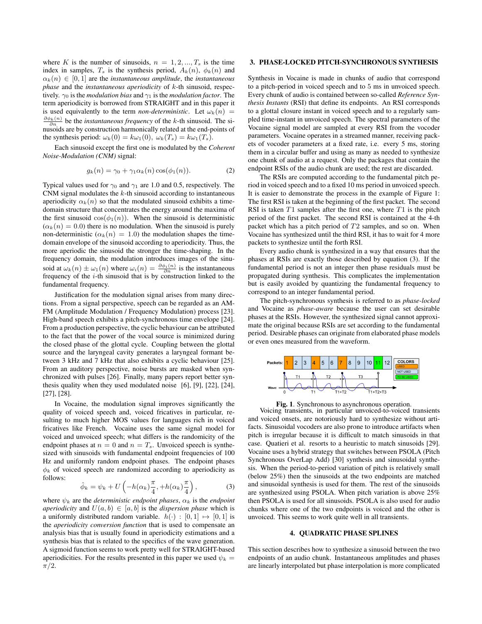where K is the number of sinusoids,  $n = 1, 2, ..., T_s$  is the time index in samples,  $T_s$  is the synthesis period,  $A_k(n)$ ,  $\phi_k(n)$  and  $\alpha_k(n) \in [0,1]$  are the *instantaneous amplitude*, the *instantaneous phase* and the *instantaneous aperiodicity* of k-th sinusoid, respectively.  $\gamma_0$  is the *modulation bias* and  $\gamma_1$  is the *modulation factor*. The term aperiodicity is borrowed from STRAIGHT and in this paper it is used equivalently to the term *non-deterministic*. Let  $\omega_k(n)$  =  $\frac{\partial \phi_k(n)}{\partial n}$  be the *instantaneous frequency* of the *k*-th sinusoid. The sinusoids are by construction harmonically related at the end-points of the synthesis period:  $\omega_k(0) = k\omega_1(0)$ ,  $\omega_k(T_s) = k\omega_1(T_s)$ .

Each sinusoid except the first one is modulated by the *Coherent Noise-Modulation (CNM)* signal:

$$
g_k(n) = \gamma_0 + \gamma_1 \alpha_k(n) \cos(\phi_1(n)). \tag{2}
$$

Typical values used for  $\gamma_0$  and  $\gamma_1$  are 1.0 and 0.5, respectively. The CNM signal modulates the  $k$ -th sinusoid according to instantaneous aperiodicity  $\alpha_k(n)$  so that the modulated sinusoid exhibits a timedomain structure that concentrates the energy around the maxima of the first sinusoid  $cos(\phi_1(n))$ . When the sinusoid is deterministic  $(\alpha_k(n) = 0.0)$  there is no modulation. When the sinusoid is purely non-deterministic ( $\alpha_k(n) = 1.0$ ) the modulation shapes the timedomain envelope of the sinusoid according to aperiodicity. Thus, the more aperiodic the sinusoid the stronger the time-shaping. In the frequency domain, the modulation introduces images of the sinusoid at  $\omega_k(n) \pm \omega_1(n)$  where  $\omega_i(n) = \frac{\partial \phi_i(n)}{\partial n}$  is the instantaneous frequency of the i-th sinusoid that is by construction linked to the fundamental frequency.

Justification for the modulation signal arises from many directions. From a signal perspective, speech can be regarded as an AM-FM (Amplitude Modulation / Frequency Modulation) process [23]. High-band speech exhibits a pitch-synchronous time envelope [24]. From a production perspective, the cyclic behaviour can be attributed to the fact that the power of the vocal source is minimized during the closed phase of the glottal cycle. Coupling between the glottal source and the laryngeal cavity generates a laryngeal formant between 3 kHz and 7 kHz that also exhibits a cyclic behaviour [25]. From an auditory perspective, noise bursts are masked when synchronized with pulses [26]. Finally, many papers report better synthesis quality when they used modulated noise [6], [9], [22], [24], [27], [28].

In Vocaine, the modulation signal improves significantly the quality of voiced speech and, voiced fricatives in particular, resulting to much higher MOS values for languages rich in voiced fricatives like French. Vocaine uses the same signal model for voiced and unvoiced speech; what differs is the randomicity of the endpoint phases at  $n = 0$  and  $n = T_s$ . Unvoiced speech is synthesized with sinusoids with fundamental endpoint frequencies of 100 Hz and uniformly random endpoint phases. The endpoint phases  $\phi_k$  of voiced speech are randomized according to aperiodicity as follows:

$$
\hat{\phi}_k = \psi_k + U\left(-h(\alpha_k)\frac{\pi}{4}, +h(\alpha_k)\frac{\pi}{4}\right),\tag{3}
$$

where  $\psi_k$  are the *deterministic endpoint phases*,  $\alpha_k$  is the *endpoint aperiodicity* and  $U(a, b) \in [a, b]$  is the *dispersion phase* which is a uniformly distributed random variable.  $h(\cdot) : [0,1] \mapsto [0,1]$  is the *aperiodicity conversion function* that is used to compensate an analysis bias that is usually found in aperiodicity estimations and a synthesis bias that is related to the specifics of the wave generation. A sigmoid function seems to work pretty well for STRAIGHT-based aperiodicities. For the results presented in this paper we used  $\psi_k =$  $\pi/2$ .

#### 3. PHASE-LOCKED PITCH-SYNCHRONOUS SYNTHESIS

Synthesis in Vocaine is made in chunks of audio that correspond to a pitch-period in voiced speech and to 5 ms in unvoiced speech. Every chunk of audio is contained between so-called *Reference Synthesis Instants* (RSI) that define its endpoints. An RSI corresponds to a glottal closure instant in voiced speech and to a regularly sampled time-instant in unvoiced speech. The spectral parameters of the Vocaine signal model are sampled at every RSI from the vocoder parameters. Vocaine operates in a streamed manner, receiving packets of vocoder parameters at a fixed rate, i.e. every 5 ms, storing them in a circular buffer and using as many as needed to synthesize one chunk of audio at a request. Only the packages that contain the endpoint RSIs of the audio chunk are used; the rest are discarded.

The RSIs are computed according to the fundamental pitch period in voiced speech and to a fixed 10 ms period in unvoiced speech. It is easier to demonstrate the process in the example of Figure 1: The first RSI is taken at the beginning of the first packet. The second RSI is taken  $T1$  samples after the first one, where  $T1$  is the pitch period of the first packet. The second RSI is contained at the 4-th packet which has a pitch period of  $T2$  samples, and so on. When Vocaine has synthesized until the third RSI, it has to wait for 4 more packets to synthesize until the forth RSI.

Every audio chunk is synthesized in a way that ensures that the phases at RSIs are exactly those described by equation (3). If the fundamental period is not an integer then phase residuals must be propagated during synthesis. This complicates the implementation but is easily avoided by quantizing the fundamental frequency to correspond to an integer fundamental period.

The pitch-synchronous synthesis is referred to as *phase-locked* and Vocaine as *phase-aware* because the user can set desirable phases at the RSIs. However, the synthesized signal cannot approximate the original because RSIs are set according to the fundamental period. Desirable phases can originate from elaborated phase models or even ones measured from the waveform.



Fig. 1. Synchronous to asynchronous operation.

Voicing transients, in particular unvoiced-to-voiced transients and voiced onsets, are notoriously hard to synthesize without artifacts. Sinusoidal vocoders are also prone to introduce artifacts when pitch is irregular because it is difficult to match sinusoids in that case. Quatieri et al. resorts to a heuristic to match sinusoids [29]. Vocaine uses a hybrid strategy that switches between PSOLA (Pitch Synchronous OverLap Add) [30] synthesis and sinusoidal synthesis. When the period-to-period variation of pitch is relatively small (below 25%) then the sinusoids at the two endpoints are matched and sinusoidal synthesis is used for them. The rest of the sinusoids are synthesized using PSOLA. When pitch variation is above 25% then PSOLA is used for all sinusoids. PSOLA is also used for audio chunks where one of the two endpoints is voiced and the other is unvoiced. This seems to work quite well in all transients.

#### 4. QUADRATIC PHASE SPLINES

This section describes how to synthesize a sinusoid between the two endpoints of an audio chunk. Instantaneous amplitudes and phases are linearly interpolated but phase interpolation is more complicated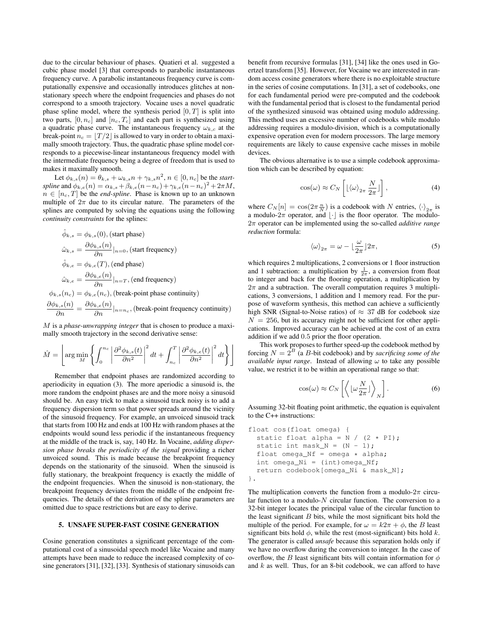due to the circular behaviour of phases. Quatieri et al. suggested a cubic phase model [3] that corresponds to parabolic instantaneous frequency curve. A parabolic instantaneous frequency curve is computationally expensive and occasionally introduces glitches at nonstationary speech where the endpoint frequencies and phases do not correspond to a smooth trajectory. Vocaine uses a novel quadratic phase spline model, where the synthesis period  $[0, T]$  is split into two parts,  $[0, n_c]$  and  $[n_c, T_c]$  and each part is synthesized using a quadratic phase curve. The instantaneous frequency  $\omega_{k,c}$  at the break-point  $n_c = |T/2|$  is allowed to vary in order to obtain a maximally smooth trajectory. Thus, the quadratic phase spline model corresponds to a piecewise-linear instantaneous frequency model with the intermediate frequency being a degree of freedom that is used to makes it maximally smooth.

Let  $\phi_{k,s}(n) = \theta_{k,s} + \omega_{k,s} n + \gamma_{k,s} n^2$ ,  $n \in [0, n_c]$  be the *startspline* and  $\phi_{k,e}(n) = \alpha_{k,s} + \beta_{k,e}(n - n_c) + \gamma_{k,e}(n - n_c)^2 + 2\pi M$ ,  $n \in [n_c, T]$  be the *end-spline*. Phase is known up to an unknown multiple of  $2\pi$  due to its circular nature. The parameters of the splines are computed by solving the equations using the following *continuity constraints* for the splines:

$$
\hat{\phi}_{k,s} = \phi_{k,s}(0), \text{(start phase)}
$$
\n
$$
\hat{\omega}_{k,s} = \frac{\partial \phi_{k,s}(n)}{\partial n}|_{n=0}, \text{(start frequency)}
$$
\n
$$
\hat{\phi}_{k,e} = \phi_{k,e}(T), \text{(end phase)}
$$
\n
$$
\hat{\omega}_{k,e} = \frac{\partial \phi_{k,e}(n)}{\partial n}|_{n=T}, \text{(end frequency)}
$$
\n
$$
\phi_{k,s}(n_c) = \phi_{k,e}(n_c), \text{(break-point phase continuity)}
$$
\n
$$
\frac{\partial \phi_{k,s}(n)}{\partial n} = \frac{\partial \phi_{k,e}(n)}{\partial n}|_{n=n_c}, \text{(break-point frequency continuity)}
$$

M is a *phase-unwrapping integer* that is chosen to produce a maximally smooth trajectory in the second derivative sense:

$$
\hat{M} = \left[ \arg \min_{M} \left\{ \int_0^{n_c} \left| \frac{\partial^2 \phi_{k,s}(t)}{\partial n^2} \right|^2 dt + \int_{n_c}^T \left| \frac{\partial^2 \phi_{k,e}(t)}{\partial n^2} \right|^2 dt \right\} \right]
$$

Remember that endpoint phases are randomized according to aperiodicity in equation (3). The more aperiodic a sinusoid is, the more random the endpoint phases are and the more noisy a sinusoid should be. An easy trick to make a sinusoid track noisy is to add a frequency dispersion term so that power spreads around the vicinity of the sinusoid frequency. For example, an unvoiced sinusoid track that starts from 100 Hz and ends at 100 Hz with random phases at the endpoints would sound less periodic if the instantaneous frequency at the middle of the track is, say, 140 Hz. In Vocaine, *adding dispersion phase breaks the periodicity of the signal* providing a richer unvoiced sound. This is made because the breakpoint frequency depends on the stationarity of the sinusoid. When the sinusoid is fully stationary, the breakpoint frequency is exactly the middle of the endpoint frequencies. When the sinusoid is non-stationary, the breakpoint frequency deviates from the middle of the endpoint frequencies. The details of the derivation of the spline parameters are omitted due to space restrictions but are easy to derive.

### 5. UNSAFE SUPER-FAST COSINE GENERATION

Cosine generation constitutes a significant percentage of the computational cost of a sinusoidal speech model like Vocaine and many attempts have been made to reduce the increased complexity of cosine generators [31], [32], [33]. Synthesis of stationary sinusoids can benefit from recursive formulas [31], [34] like the ones used in Goertzel transform [35]. However, for Vocaine we are interested in random access cosine generators where there is no exploitable structure in the series of cosine computations. In [31], a set of codebooks, one for each fundamental period were pre-computed and the codebook with the fundamental period that is closest to the fundamental period of the synthesized sinusoid was obtained using modulo addressing. This method uses an excessive number of codebooks while modulo addressing requires a modulo-division, which is a computationally expensive operation even for modern processors. The large memory requirements are likely to cause expensive cache misses in mobile devices.

The obvious alternative is to use a simple codebook approximation which can be described by equation:

$$
\cos(\omega) \approx C_N \left[ \lfloor \langle \omega \rangle_{2\pi} \frac{N}{2\pi} \rfloor \right],\tag{4}
$$

where  $C_N[n] = \cos(2\pi \frac{n}{N})$  is a codebook with N entries,  $\langle \cdot \rangle_{2\pi}$  is a modulo- $2\pi$  operator, and  $|\cdot|$  is the floor operator. The modulo-2π operator can be implemented using the so-called *additive range reduction* formula:

$$
\langle \omega \rangle_{2\pi} = \omega - \lfloor \frac{\omega}{2\pi} \rfloor 2\pi,\tag{5}
$$

which requires 2 multiplications, 2 conversions or 1 floor instruction and 1 subtraction: a multiplication by  $\frac{1}{2\pi}$ , a conversion from float to integer and back for the flooring operation, a multiplication by  $2\pi$  and a subtraction. The overall computation requires 3 multiplications, 3 conversions, 1 addition and 1 memory read. For the purpose of waveform synthesis, this method can achieve a sufficiently high SNR (Signal-to-Noise ratios) of  $\approx$  37 dB for codebook size  $N = 256$ , but its accuracy might not be sufficient for other applications. Improved accuracy can be achieved at the cost of an extra addition if we add 0.5 prior the floor operation.

This work proposes to further speed-up the codebook method by forcing  $N = 2^B$  (a B-bit codebook) and by *sacrificing some of the available input range*. Instead of allowing  $\omega$  to take any possible value, we restrict it to be within an operational range so that:

$$
\cos(\omega) \approx C_N \left[ \left\langle \left[ \omega \frac{N}{2\pi} \right] \right\rangle_N \right]. \tag{6}
$$

Assuming 32-bit floating point arithmetic, the equation is equivalent to the C++ instructions:

```
float cos(float omega) {
  static float alpha = N / (2 * PI);
  static int mask_N = (N - 1);
  float omega_Nf = omega * alpha;
  int omega_Ni = (int)omega_Nf;
  return codebook[omega_Ni & mask_N];
}.
```
The multiplication converts the function from a modulo- $2\pi$  circular function to a modulo- $N$  circular function. The conversion to a 32-bit integer locates the principal value of the circular function to the least significant  $B$  bits, while the most significant bits hold the multiple of the period. For example, for  $\omega = k2\pi + \phi$ , the B least significant bits hold  $\phi$ , while the rest (most-significant) bits hold k. The generator is called *unsafe* because this separation holds only if we have no overflow during the conversion to integer. In the case of overflow, the B least significant bits will contain information for  $\phi$ and  $k$  as well. Thus, for an 8-bit codebook, we can afford to have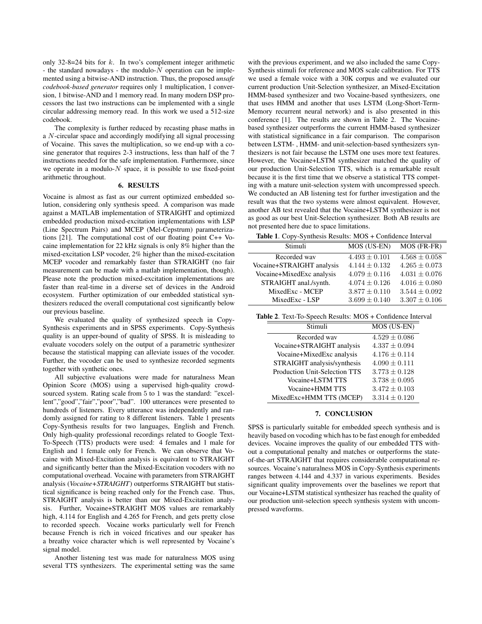only 32-8=24 bits for  $k$ . In two's complement integer arithmetic - the standard nowadays - the modulo- $N$  operation can be implemented using a bitwise-AND instruction. Thus, the proposed *unsafe codebook-based generator* requires only 1 multiplication, 1 conversion, 1 bitwise-AND and 1 memory read. In many modern DSP processors the last two instructions can be implemented with a single circular addressing memory read. In this work we used a 512-size codebook.

The complexity is further reduced by recasting phase maths in a N-circular space and accordingly modifying all signal processing of Vocaine. This saves the multiplication, so we end-up with a cosine generator that requires 2-3 instructions, less than half of the 7 instructions needed for the safe implementation. Furthermore, since we operate in a modulo- $N$  space, it is possible to use fixed-point arithmetic throughout.

## 6. RESULTS

Vocaine is almost as fast as our current optimized embedded solution, considering only synthesis speed. A comparison was made against a MATLAB implementation of STRAIGHT and optimized embedded production mixed-excitation implementations with LSP (Line Spectrum Pairs) and MCEP (Mel-Cepstrum) parameterizations [21]. The computational cost of our floating point C++ Vocaine implementation for 22 kHz signals is only 8% higher than the mixed-excitation LSP vocoder, 2% higher than the mixed-excitation MCEP vocoder and remarkably faster than STRAIGHT (no fair measurement can be made with a matlab implementation, though). Please note the production mixed-excitation implementations are faster than real-time in a diverse set of devices in the Android ecosystem. Further optimization of our embedded statistical synthesizers reduced the overall computational cost significantly below our previous baseline.

We evaluated the quality of synthesized speech in Copy-Synthesis experiments and in SPSS experiments. Copy-Synthesis quality is an upper-bound of quality of SPSS. It is misleading to evaluate vocoders solely on the output of a parametric synthesizer because the statistical mapping can alleviate issues of the vocoder. Further, the vocoder can be used to synthesize recorded segments together with synthetic ones.

All subjective evaluations were made for naturalness Mean Opinion Score (MOS) using a supervised high-quality crowdsourced system. Rating scale from 5 to 1 was the standard: "excellent","good","fair","poor","bad". 100 utterances were presented to hundreds of listeners. Every utterance was independently and randomly assigned for rating to 8 different listeners. Table 1 presents Copy-Synthesis results for two languages, English and French. Only high-quality professional recordings related to Google Text-To-Speech (TTS) products were used: 4 females and 1 male for English and 1 female only for French. We can observe that Vocaine with Mixed-Excitation analysis is equivalent to STRAIGHT and significantly better than the Mixed-Excitation vocoders with no computational overhead. Vocaine with parameters from STRAIGHT analysis (*Vocaine+STRAIGHT*) outperforms STRAIGHT but statistical significance is being reached only for the French case. Thus, STRAIGHT analysis is better than our Mixed-Excitation analysis. Further, Vocaine+STRAIGHT MOS values are remarkably high, 4.114 for English and 4.265 for French, and gets pretty close to recorded speech. Vocaine works particularly well for French because French is rich in voiced fricatives and our speaker has a breathy voice character which is well represented by Vocaine's signal model.

Another listening test was made for naturalness MOS using several TTS synthesizers. The experimental setting was the same

with the previous experiment, and we also included the same Copy-Synthesis stimuli for reference and MOS scale calibration. For TTS we used a female voice with a 30K corpus and we evaluated our current production Unit-Selection synthesizer, an Mixed-Excitation HMM-based synthesizer and two Vocaine-based synthesizers, one that uses HMM and another that uses LSTM (Long-Short-Term-Memory recurrent neural network) and is also presented in this conference [1]. The results are shown in Table 2. The Vocainebased synthesizer outperforms the current HMM-based synthesizer with statistical significance in a fair comparison. The comparison between LSTM- , HMM- and unit-selection-based synthesizers synthesizers is not fair because the LSTM one uses more text features. However, the Vocaine+LSTM synthesizer matched the quality of our production Unit-Selection TTS, which is a remarkable result because it is the first time that we observe a statistical TTS competing with a mature unit-selection system with uncompressed speech. We conducted an AB listening test for further investigation and the result was that the two systems were almost equivalent. However, another AB test revealed that the Vocaine+LSTM synthesizer is not as good as our best Unit-Selection synthesizer. Both AB results are not presented here due to space limitations.

Table 1. Copy-Synthesis Results: MOS + Confidence Interval

| .                         |                   |                   |
|---------------------------|-------------------|-------------------|
| Stimuli                   | MOS (US-EN)       | MOS (FR-FR)       |
| Recorded way              | $4.493 \pm 0.101$ | $4.568 \pm 0.058$ |
| Vocaine+STRAIGHT analysis | $4.144 \pm 0.132$ | $4.265 \pm 0.073$ |
| Vocaine+MixedExc analysis | $4.079 \pm 0.116$ | $4.031 \pm 0.076$ |
| STRAIGHT anal./synth.     | $4.074 \pm 0.126$ | $4.016 \pm 0.080$ |
| MixedExc - MCEP           | $3.877 \pm 0.110$ | $3.544 \pm 0.092$ |
| MixedExc - LSP            | $3.699 \pm 0.140$ | $3.307 \pm 0.106$ |
|                           |                   |                   |

Table 2. Text-To-Speech Results: MOS + Confidence Interval

| Stimuli                       | MOS (US-EN)       |
|-------------------------------|-------------------|
| Recorded way                  | $4.529 \pm 0.086$ |
| Vocaine+STRAIGHT analysis     | $4.337 \pm 0.094$ |
| Vocaine+MixedExc analysis     | $4.176 \pm 0.114$ |
| STRAIGHT analysis/synthesis   | $4.090 \pm 0.111$ |
| Production Unit-Selection TTS | $3.773 \pm 0.128$ |
| Vocaine+LSTM TTS              | $3.738 \pm 0.095$ |
| Vocaine+HMM TTS               | $3.472 \pm 0.103$ |
| MixedExc+HMM TTS (MCEP)       | $3.314 \pm 0.120$ |

#### 7. CONCLUSION

SPSS is particularly suitable for embedded speech synthesis and is heavily based on vocoding which has to be fast enough for embedded devices. Vocaine improves the quality of our embedded TTS without a computational penalty and matches or outperforms the stateof-the-art STRAIGHT that requires considerable computational resources. Vocaine's naturalness MOS in Copy-Synthesis experiments ranges between 4.144 and 4.337 in various experiments. Besides significant quality improvements over the baselines we report that our Vocaine+LSTM statistical synthesizer has reached the quality of our production unit-selection speech synthesis system with uncompressed waveforms.